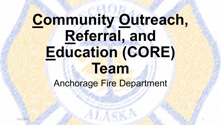# **Community Outreach,**  Referred and and **Education (CORE) Team**

Anchorage Fire Department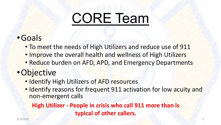#### •Goals

- To meet the needs of High Utilizers and reduce use of 911
- Improve the overall health and wellness of High Utilizers
- Reduce burden on AFD, APD, and Emergency Departments

#### •Objective

- Identify High Utilizers of AFD resources
- Identify reasons for frequent 911 activation for low acuity and non-emergent calls

#### **High Utilizer - People in crisis who call 911 more than is typical of other callers.**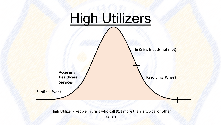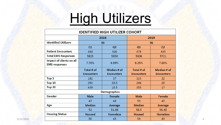# High Utilizers

#### **IDENTIFIED HIGH UTILIZER COHORT**

|                                                  | 2018<br>93          |                   | 2019<br>96        |                   |  |
|--------------------------------------------------|---------------------|-------------------|-------------------|-------------------|--|
| <b>Identified Utilizers</b>                      |                     |                   |                   |                   |  |
|                                                  | Q1                  | Q2                | Q1                | Q2                |  |
| <b>Patient Encounters</b>                        | 448                 | 526               | 479               | 435               |  |
| <b>Total EMS Responses</b>                       | 5815                | 5850              | 5806              | 5721              |  |
| Impact of clients on all<br><b>EMS responses</b> | 7.70%               | 8.99%             | 8.25%             | 7.60%             |  |
|                                                  | Total # of          | Median # of       | Total # of        | Median # of       |  |
|                                                  | <b>Encounters</b>   | <b>Encounters</b> | <b>Encounters</b> | <b>Encounters</b> |  |
| Top 5                                            | 181                 | 37                | 113               | 22                |  |
| Top <sub>10</sub>                                | 292                 | 28.5              | 206               | 20                |  |
| <b>Top 20</b>                                    | 439                 | 18.5              | 355               | 17                |  |
|                                                  | <b>Demographics</b> |                   |                   |                   |  |
| Gender                                           | <b>Male</b>         | Female            | <b>Male</b>       | Female            |  |
|                                                  | 47                  | 48                | 53                | 43                |  |
| Age                                              | <b>Median</b>       | Average           | <b>Median</b>     | Average           |  |
|                                                  | 52                  | 51.88             | 58.5              | 56.48             |  |
| <b>Housing Status</b>                            | <b>Housed</b>       | <b>Homeless</b>   | Housed            | <b>Homeless</b>   |  |
| 5/15/2020                                        | 50                  | 43                | 53                | 43                |  |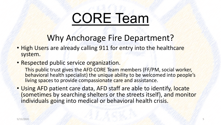### Why Anchorage Fire Department?

- High Users are already calling 911 for entry into the healthcare system.
- Respected public service organization.

This public trust gives the AFD CORE Team members (FF/PM, social worker, behavioral health specialist) the unique ability to be welcomed into people's living spaces to provide compassionate care and assistance.

• Using AFD patient care data, AFD staff are able to identify, locate (sometimes by searching shelters or the streets itself), and monitor individuals going into medical or behavioral health crisis.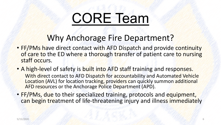### Why Anchorage Fire Department?

- FF/PMs have direct contact with AFD Dispatch and provide continuity of care to the ED where a thorough transfer of patient care to nursing staff occurs.
- A high-level of safety is built into AFD staff training and responses. With direct contact to AFD Dispatch for accountability and Automated Vehicle Location (AVL) for location tracking, providers can quickly summon additional AFD resources or the Anchorage Police Department (APD).
- FF/PMs, due to their specialized training, protocols and equipment, can begin treatment of life-threatening injury and illness immediately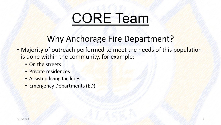### Why Anchorage Fire Department?

- Majority of outreach performed to meet the needs of this population is done within the community, for example:
	- On the streets
	- Private residences
	- Assisted living facilities
	- Emergency Departments (ED)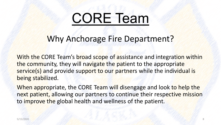#### Why Anchorage Fire Department?

With the CORE Team's broad scope of assistance and integration within the community, they will navigate the patient to the appropriate service(s) and provide support to our partners while the individual is being stabilized.

When appropriate, the CORE Team will disengage and look to help the next patient, allowing our partners to continue their respective mission to improve the global health and wellness of the patient.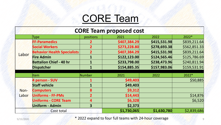#### **CORE Team proposed cost**

|       | Type                               | positions      | 2021         | 2022         | 2022*        |
|-------|------------------------------------|----------------|--------------|--------------|--------------|
| Labor | <b>FF-Paramedics</b>               | 2              | \$407,384.29 | \$415,531.98 | \$839,211.64 |
|       | <b>Social Workers</b>              | 2 <sup>1</sup> | \$273,228.80 | \$278,693.38 | \$562,851.33 |
|       | <b>Behavior Health Specialists</b> | $\overline{2}$ | \$407,384.29 | \$415,531.98 | \$839,211.64 |
|       | <b>Fire Admin</b>                  | 1              | \$122,123.00 | \$124,565.46 | \$125,786.69 |
|       | <b>Battalion Chief - 40 hr</b>     | 1              | \$233,798.00 | \$238,473.96 | \$240,811.94 |
|       | <b>Dispatcher</b>                  |                | \$154,885.35 | \$157,983.06 | \$159,531.91 |
|       |                                    |                |              |              |              |
|       | <b>Item</b>                        | Number         | 2021         | 2022         | 2022*        |
|       | 4 person - SUV                     |                | \$49,403     |              | \$50,885     |
|       | <b>Staff vehicle</b>               |                | \$49,403     |              |              |
| Non-  | <b>Computers</b>                   | 8              | \$9,312      |              |              |
| Labor | <b>Uniforms - FF-PMs</b>           | $\mathbf{2}$   | \$14,443     |              | \$14,876     |
|       | <b>Uniforms - CORE Team</b>        | 4              | \$6,328      |              | \$6,520      |
|       | <b>Uniform - Admin</b>             | 3              | \$2,373      |              |              |
|       | Cost total                         |                | \$1,730,065  | \$1,630,780  | \$2,839,686  |

5/15/2020 **12/16/2020** \* 2022 expand to four full teams with 24-hour coverage 9/15/2020